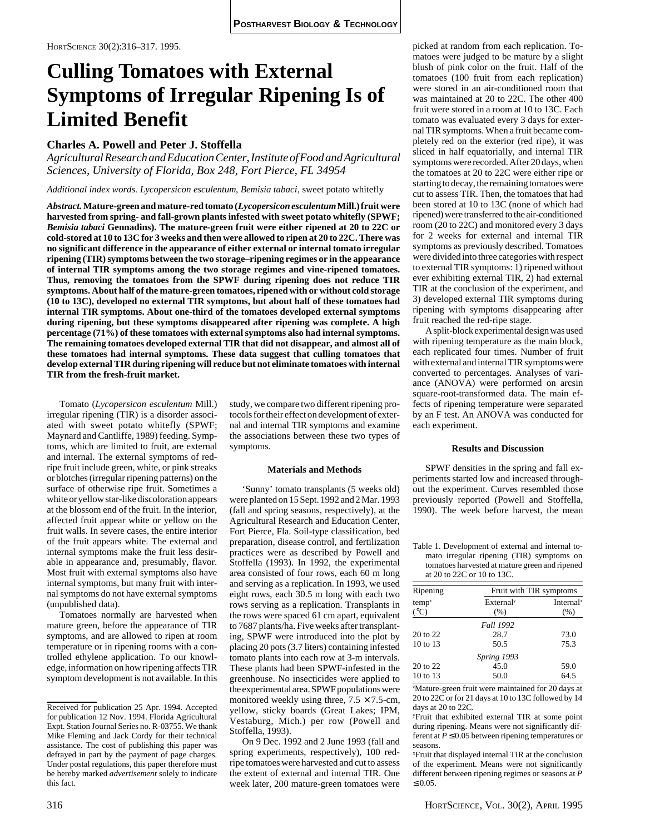# **Culling Tomatoes with External Symptoms of Irregular Ripening Is of Limited Benefit**

## **Charles A. Powell and Peter J. Stoffella**

*Agricultural Research and Education Center, Institute of Food and Agricultural Sciences, University of Florida, Box 248, Fort Pierce, FL 34954*

*Additional index words. Lycopersicon esculentum*, *Bemisia tabaci*, sweet potato whitefly

*Abstract.* **Mature-green and mature-red tomato (***Lycopersicon esculentum* **Mill.) fruit were harvested from spring- and fall-grown plants infested with sweet potato whitefly (SPWF;** *Bemisia tabaci* **Gennadins). The mature-green fruit were either ripened at 20 to 22C or cold-stored at 10 to 13C for 3 weeks and then were allowed to ripen at 20 to 22C. There was no significant difference in the appearance of either external or internal tomato irregular ripening (TIR) symptoms between the two storage–ripening regimes or in the appearance of internal TIR symptoms among the two storage regimes and vine-ripened tomatoes. Thus, removing the tomatoes from the SPWF during ripening does not reduce TIR symptoms. About half of the mature-green tomatoes, ripened with or without cold storage (10 to 13C), developed no external TIR symptoms, but about half of these tomatoes had internal TIR symptoms. About one-third of the tomatoes developed external symptoms during ripening, but these symptoms disappeared after ripening was complete. A high percentage (71%) of these tomatoes with external symptoms also had internal symptoms. The remaining tomatoes developed external TIR that did not disappear, and almost all of these tomatoes had internal symptoms. These data suggest that culling tomatoes that develop external TIR during ripening will reduce but not eliminate tomatoes with internal TIR from the fresh-fruit market.**

Tomato (*Lycopersicon esculentum* Mill.) irregular ripening (TIR) is a disorder associated with sweet potato whitefly (SPWF; Maynard and Cantliffe, 1989) feeding. Symptoms, which are limited to fruit, are external and internal. The external symptoms of redripe fruit include green, white, or pink streaks or blotches (irregular ripening patterns) on the surface of otherwise ripe fruit. Sometimes a white or yellow star-like discoloration appears at the blossom end of the fruit. In the interior, affected fruit appear white or yellow on the fruit walls. In severe cases, the entire interior of the fruit appears white. The external and internal symptoms make the fruit less desirable in appearance and, presumably, flavor. Most fruit with external symptoms also have internal symptoms, but many fruit with internal symptoms do not have external symptoms (unpublished data).

Tomatoes normally are harvested when mature green, before the appearance of TIR symptoms, and are allowed to ripen at room temperature or in ripening rooms with a controlled ethylene application. To our knowledge, information on how ripening affects TIR symptom development is not available. In this study, we compare two different ripening protocols for their effect on development of external and internal TIR symptoms and examine the associations between these two types of symptoms.

### **Materials and Methods**

'Sunny' tomato transplants (5 weeks old) were planted on 15 Sept. 1992 and 2 Mar. 1993 (fall and spring seasons, respectively), at the Agricultural Research and Education Center, Fort Pierce, Fla. Soil-type classification, bed preparation, disease control, and fertilization practices were as described by Powell and Stoffella (1993). In 1992, the experimental area consisted of four rows, each 60 m long and serving as a replication. In 1993, we used eight rows, each 30.5 m long with each two rows serving as a replication. Transplants in the rows were spaced 61 cm apart, equivalent to 7687 plants/ha. Five weeks after transplanting, SPWF were introduced into the plot by placing 20 pots (3.7 liters) containing infested tomato plants into each row at 3-m intervals. These plants had been SPWF-infested in the greenhouse. No insecticides were applied to the experimental area. SPWF populations were monitored weekly using three,  $7.5 \times 7.5$ -cm, yellow, sticky boards (Great Lakes; IPM, Vestaburg, Mich.) per row (Powell and Stoffella, 1993).

On 9 Dec. 1992 and 2 June 1993 (fall and spring experiments, respectively), 100 redripe tomatoes were harvested and cut to assess the extent of external and internal TIR. One week later, 200 mature-green tomatoes were

picked at random from each replication. Tomatoes were judged to be mature by a slight blush of pink color on the fruit. Half of the tomatoes (100 fruit from each replication) were stored in an air-conditioned room that was maintained at 20 to 22C. The other 400 fruit were stored in a room at 10 to 13C. Each tomato was evaluated every 3 days for external TIR symptoms. When a fruit became completely red on the exterior (red ripe), it was sliced in half equatorially, and internal TIR symptoms were recorded. After 20 days, when the tomatoes at 20 to 22C were either ripe or starting to decay, the remaining tomatoes were cut to assess TIR. Then, the tomatoes that had been stored at 10 to 13C (none of which had ripened) were transferred to the air-conditioned room (20 to 22C) and monitored every 3 days for 2 weeks for external and internal TIR symptoms as previously described. Tomatoes were divided into three categories with respect to external TIR symptoms: 1) ripened without ever exhibiting external TIR, 2) had external TIR at the conclusion of the experiment, and 3) developed external TIR symptoms during ripening with symptoms disappearing after fruit reached the red-ripe stage.

A split-block experimental design was used with ripening temperature as the main block, each replicated four times. Number of fruit with external and internal TIR symptoms were converted to percentages. Analyses of variance (ANOVA) were performed on arcsin square-root-transformed data. The main effects of ripening temperature were separated by an F test. An ANOVA was conducted for each experiment.

### **Results and Discussion**

SPWF densities in the spring and fall experiments started low and increased throughout the experiment. Curves resembled those previously reported (Powell and Stoffella, 1990). The week before harvest, the mean

Table 1. Development of external and internal tomato irregular ripening (TIR) symptoms on tomatoes harvested at mature green and ripened at 20 to 22C or 10 to 13C.

| Ripening        | Fruit with TIR symptoms |                       |  |  |  |
|-----------------|-------------------------|-----------------------|--|--|--|
| $temp^z$        | External <sup>y</sup>   | Internal <sup>x</sup> |  |  |  |
| $({}^{\circ}C)$ | (% )                    | (% )                  |  |  |  |
|                 | <b>Fall 1992</b>        |                       |  |  |  |
| 20 to 22        | 28.7                    | 73.0                  |  |  |  |
| 10 to 13        | 50.5                    | 75.3                  |  |  |  |
|                 | Spring 1993             |                       |  |  |  |
| 20 to 22        | 45.0                    | 59.0                  |  |  |  |
| 10 to 13        | 50.0                    | 64.5                  |  |  |  |

z Mature-green fruit were maintained for 20 days at 20 to 22C or for 21 days at 10 to 13C followed by 14 days at 20 to 22C.

yFruit that exhibited external TIR at some point during ripening. Means were not significantly different at  $P \le 0.05$  between ripening temperatures or seasons.

x Fruit that displayed internal TIR at the conclusion of the experiment. Means were not significantly different between ripening regimes or seasons at *P*  $≤ 0.05.$ 

Received for publication 25 Apr. 1994. Accepted for publication 12 Nov. 1994. Florida Agricultural Expt. Station Journal Series no. R-03755. We thank Mike Fleming and Jack Cordy for their technical assistance. The cost of publishing this paper was defrayed in part by the payment of page charges. Under postal regulations, this paper therefore must be hereby marked *advertisement* solely to indicate this fact.